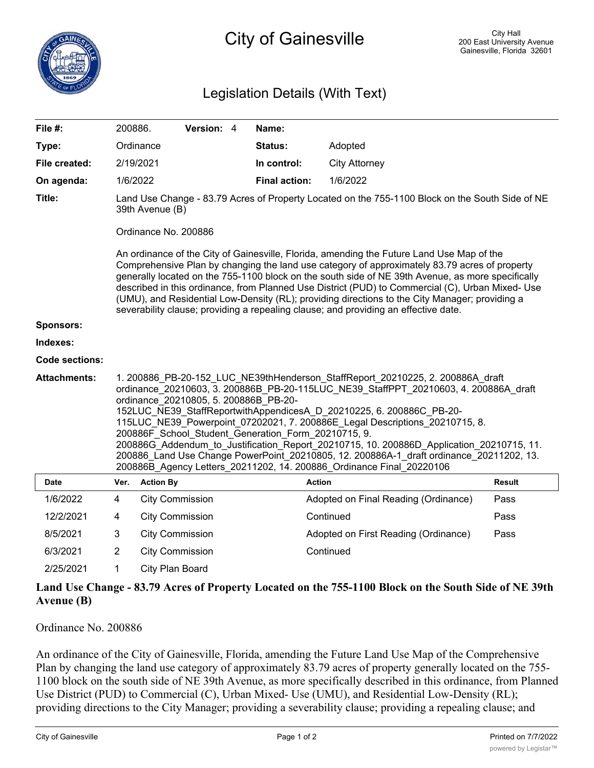## Legislation Details (With Text)

| File #:               | 200886.                                                                                                                                                                                                                                                                                                                                                                                                                                                                                                                                                                                                                                                                                      |                                                                                                                                                                                                                                                                                                                                                                                                                                                                                                                                                                                              | Version: 4 |  | Name:                |                                      |               |  |
|-----------------------|----------------------------------------------------------------------------------------------------------------------------------------------------------------------------------------------------------------------------------------------------------------------------------------------------------------------------------------------------------------------------------------------------------------------------------------------------------------------------------------------------------------------------------------------------------------------------------------------------------------------------------------------------------------------------------------------|----------------------------------------------------------------------------------------------------------------------------------------------------------------------------------------------------------------------------------------------------------------------------------------------------------------------------------------------------------------------------------------------------------------------------------------------------------------------------------------------------------------------------------------------------------------------------------------------|------------|--|----------------------|--------------------------------------|---------------|--|
| Type:                 |                                                                                                                                                                                                                                                                                                                                                                                                                                                                                                                                                                                                                                                                                              | Ordinance                                                                                                                                                                                                                                                                                                                                                                                                                                                                                                                                                                                    |            |  | <b>Status:</b>       | Adopted                              |               |  |
| File created:         |                                                                                                                                                                                                                                                                                                                                                                                                                                                                                                                                                                                                                                                                                              | 2/19/2021                                                                                                                                                                                                                                                                                                                                                                                                                                                                                                                                                                                    |            |  | In control:          | <b>City Attorney</b>                 |               |  |
| On agenda:            | 1/6/2022                                                                                                                                                                                                                                                                                                                                                                                                                                                                                                                                                                                                                                                                                     |                                                                                                                                                                                                                                                                                                                                                                                                                                                                                                                                                                                              |            |  | <b>Final action:</b> | 1/6/2022                             |               |  |
| Title:                |                                                                                                                                                                                                                                                                                                                                                                                                                                                                                                                                                                                                                                                                                              | Land Use Change - 83.79 Acres of Property Located on the 755-1100 Block on the South Side of NE<br>39th Avenue (B)                                                                                                                                                                                                                                                                                                                                                                                                                                                                           |            |  |                      |                                      |               |  |
|                       |                                                                                                                                                                                                                                                                                                                                                                                                                                                                                                                                                                                                                                                                                              | Ordinance No. 200886                                                                                                                                                                                                                                                                                                                                                                                                                                                                                                                                                                         |            |  |                      |                                      |               |  |
|                       |                                                                                                                                                                                                                                                                                                                                                                                                                                                                                                                                                                                                                                                                                              | An ordinance of the City of Gainesville, Florida, amending the Future Land Use Map of the<br>Comprehensive Plan by changing the land use category of approximately 83.79 acres of property<br>generally located on the 755-1100 block on the south side of NE 39th Avenue, as more specifically<br>described in this ordinance, from Planned Use District (PUD) to Commercial (C), Urban Mixed- Use<br>(UMU), and Residential Low-Density (RL); providing directions to the City Manager; providing a<br>severability clause; providing a repealing clause; and providing an effective date. |            |  |                      |                                      |               |  |
| Sponsors:             |                                                                                                                                                                                                                                                                                                                                                                                                                                                                                                                                                                                                                                                                                              |                                                                                                                                                                                                                                                                                                                                                                                                                                                                                                                                                                                              |            |  |                      |                                      |               |  |
| Indexes:              |                                                                                                                                                                                                                                                                                                                                                                                                                                                                                                                                                                                                                                                                                              |                                                                                                                                                                                                                                                                                                                                                                                                                                                                                                                                                                                              |            |  |                      |                                      |               |  |
| <b>Code sections:</b> |                                                                                                                                                                                                                                                                                                                                                                                                                                                                                                                                                                                                                                                                                              |                                                                                                                                                                                                                                                                                                                                                                                                                                                                                                                                                                                              |            |  |                      |                                      |               |  |
| <b>Attachments:</b>   | 1. 200886 PB-20-152 LUC NE39thHenderson StaffReport 20210225, 2. 200886A draft<br>ordinance 20210603, 3. 200886B_PB-20-115LUC_NE39_StaffPPT_20210603, 4. 200886A_draft<br>ordinance 20210805, 5. 200886B PB-20-<br>152LUC_NE39_StaffReportwithAppendicesA_D_20210225, 6. 200886C_PB-20-<br>115LUC NE39 Powerpoint 07202021, 7. 200886E Legal Descriptions 20210715, 8.<br>200886F School Student Generation Form 20210715, 9.<br>200886G Addendum to Justification Report 20210715, 10. 200886D Application 20210715, 11.<br>200886 Land Use Change PowerPoint 20210805, 12. 200886A-1 draft ordinance 20211202, 13.<br>200886B Agency Letters 20211202, 14. 200886 Ordinance Final 20220106 |                                                                                                                                                                                                                                                                                                                                                                                                                                                                                                                                                                                              |            |  |                      |                                      |               |  |
| Date                  | Ver.                                                                                                                                                                                                                                                                                                                                                                                                                                                                                                                                                                                                                                                                                         | <b>Action By</b>                                                                                                                                                                                                                                                                                                                                                                                                                                                                                                                                                                             |            |  |                      | <b>Action</b>                        | <b>Result</b> |  |
| 1/6/2022              | 4                                                                                                                                                                                                                                                                                                                                                                                                                                                                                                                                                                                                                                                                                            | <b>City Commission</b>                                                                                                                                                                                                                                                                                                                                                                                                                                                                                                                                                                       |            |  |                      | Adopted on Final Reading (Ordinance) | Pass          |  |
| 12/2/2021             | 4                                                                                                                                                                                                                                                                                                                                                                                                                                                                                                                                                                                                                                                                                            | <b>City Commission</b>                                                                                                                                                                                                                                                                                                                                                                                                                                                                                                                                                                       |            |  |                      | Continued                            | Pass          |  |
| 8/5/2021              | 3                                                                                                                                                                                                                                                                                                                                                                                                                                                                                                                                                                                                                                                                                            | <b>City Commission</b>                                                                                                                                                                                                                                                                                                                                                                                                                                                                                                                                                                       |            |  |                      | Adopted on First Reading (Ordinance) | Pass          |  |
| 6/3/2021              | $\overline{2}$                                                                                                                                                                                                                                                                                                                                                                                                                                                                                                                                                                                                                                                                               | <b>City Commission</b>                                                                                                                                                                                                                                                                                                                                                                                                                                                                                                                                                                       |            |  |                      | Continued                            |               |  |
| 2/25/2021             | 1                                                                                                                                                                                                                                                                                                                                                                                                                                                                                                                                                                                                                                                                                            | City Plan Board                                                                                                                                                                                                                                                                                                                                                                                                                                                                                                                                                                              |            |  |                      |                                      |               |  |

## **Land Use Change - 83.79 Acres of Property Located on the 755-1100 Block on the South Side of NE 39th Avenue (B)**

Ordinance No. 200886

An ordinance of the City of Gainesville, Florida, amending the Future Land Use Map of the Comprehensive Plan by changing the land use category of approximately 83.79 acres of property generally located on the 755- 1100 block on the south side of NE 39th Avenue, as more specifically described in this ordinance, from Planned Use District (PUD) to Commercial (C), Urban Mixed- Use (UMU), and Residential Low-Density (RL); providing directions to the City Manager; providing a severability clause; providing a repealing clause; and